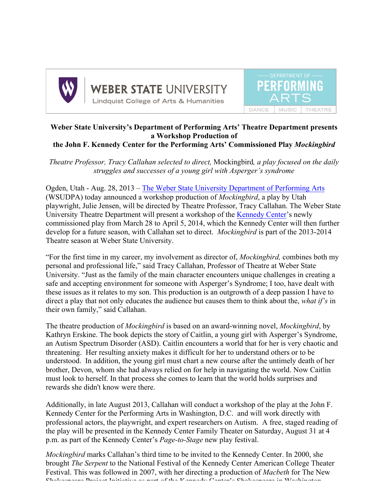

WEBER STATE UNIVERSITY **Lindquist College of Arts & Humanities** 



## **Weber State University's Department of Performing Arts' Theatre Department presents a Workshop Production of the John F. Kennedy Center for the Performing Arts' Commissioned Play** *Mockingbird*

*Theatre Professor, Tracy Callahan selected to direct,* Mockingbird*, a play focused on the daily struggles and successes of a young girl with Asperger's syndrome* 

Ogden, Utah - Aug. 28, 2013 – The Weber State University Department of Performing Arts (WSUDPA) today announced a workshop production of *Mockingbird*, a play by Utah playwright, Julie Jensen, will be directed by Theatre Professor, Tracy Callahan. The Weber State University Theatre Department will present a workshop of the Kennedy Center's newly commissioned play from March 28 to April 5, 2014, which the Kennedy Center will then further develop for a future season, with Callahan set to direct. *Mockingbird* is part of the 2013-2014 Theatre season at Weber State University.

"For the first time in my career, my involvement as director of, *Mockingbird,* combines both my personal and professional life," said Tracy Callahan, Professor of Theatre at Weber State University. "Just as the family of the main character encounters unique challenges in creating a safe and accepting environment for someone with Asperger's Syndrome; I too, have dealt with these issues as it relates to my son. This production is an outgrowth of a deep passion I have to direct a play that not only educates the audience but causes them to think about the, *what if's* in their own family," said Callahan.

The theatre production of *Mockingbird* is based on an award-winning novel, *Mockingbird*, by Kathryn Erskine. The book depicts the story of Caitlin, a young girl with Asperger's Syndrome, an Autism Spectrum Disorder (ASD). Caitlin encounters a world that for her is very chaotic and threatening. Her resulting anxiety makes it difficult for her to understand others or to be understood. In addition, the young girl must chart a new course after the untimely death of her brother, Devon, whom she had always relied on for help in navigating the world. Now Caitlin must look to herself. In that process she comes to learn that the world holds surprises and rewards she didn't know were there.

Additionally, in late August 2013, Callahan will conduct a workshop of the play at the John F. Kennedy Center for the Performing Arts in Washington, D.C. and will work directly with professional actors, the playwright, and expert researchers on Autism. A free, staged reading of the play will be presented in the Kennedy Center Family Theater on Saturday, August 31 at 4 p.m. as part of the Kennedy Center's *Page-to-Stage* new play festival.

*Mockingbird* marks Callahan's third time to be invited to the Kennedy Center. In 2000, she brought *The Serpent* to the National Festival of the Kennedy Center American College Theater Festival. This was followed in 2007, with her directing a production of *Macbeth* for The New Shakespeare Project Initiative as part of the Kennedy Center's Shakespeare in Washington